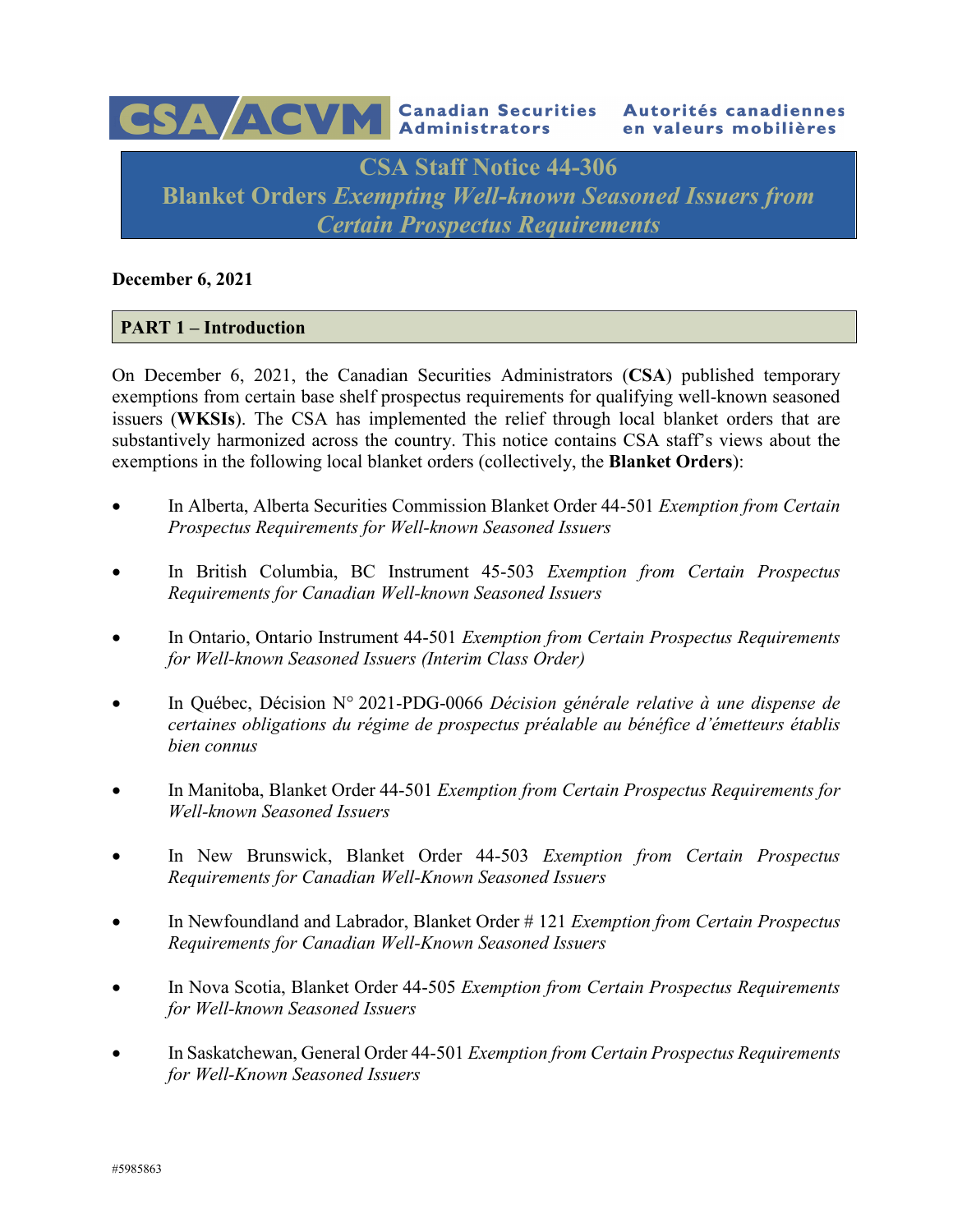

#### **December 6, 2021**

## **PART 1 – Introduction**

On December 6, 2021, the Canadian Securities Administrators (**CSA**) published temporary exemptions from certain base shelf prospectus requirements for qualifying well-known seasoned issuers (**WKSIs**). The CSA has implemented the relief through local blanket orders that are substantively harmonized across the country. This notice contains CSA staff's views about the exemptions in the following local blanket orders (collectively, the **Blanket Orders**):

- In Alberta, Alberta Securities Commission Blanket Order 44-501 *Exemption from Certain Prospectus Requirements for Well-known Seasoned Issuers*
- In British Columbia, BC Instrument 45-503 *Exemption from Certain Prospectus Requirements for Canadian Well-known Seasoned Issuers*
- In Ontario, Ontario Instrument 44-501 *Exemption from Certain Prospectus Requirements for Well-known Seasoned Issuers (Interim Class Order)*
- In Québec, Décision N° 2021-PDG-0066 *Décision générale relative à une dispense de certaines obligations du régime de prospectus préalable au bénéfice d'émetteurs établis bien connus*
- In Manitoba, Blanket Order 44-501 *Exemption from Certain Prospectus Requirements for Well-known Seasoned Issuers*
- In New Brunswick, Blanket Order 44-503 *Exemption from Certain Prospectus Requirements for Canadian Well-Known Seasoned Issuers*
- In Newfoundland and Labrador, Blanket Order # 121 *Exemption from Certain Prospectus Requirements for Canadian Well-Known Seasoned Issuers*
- In Nova Scotia, Blanket Order 44-505 *Exemption from Certain Prospectus Requirements for Well-known Seasoned Issuers*
- In Saskatchewan, General Order 44-501 *Exemption from Certain Prospectus Requirements for Well-Known Seasoned Issuers*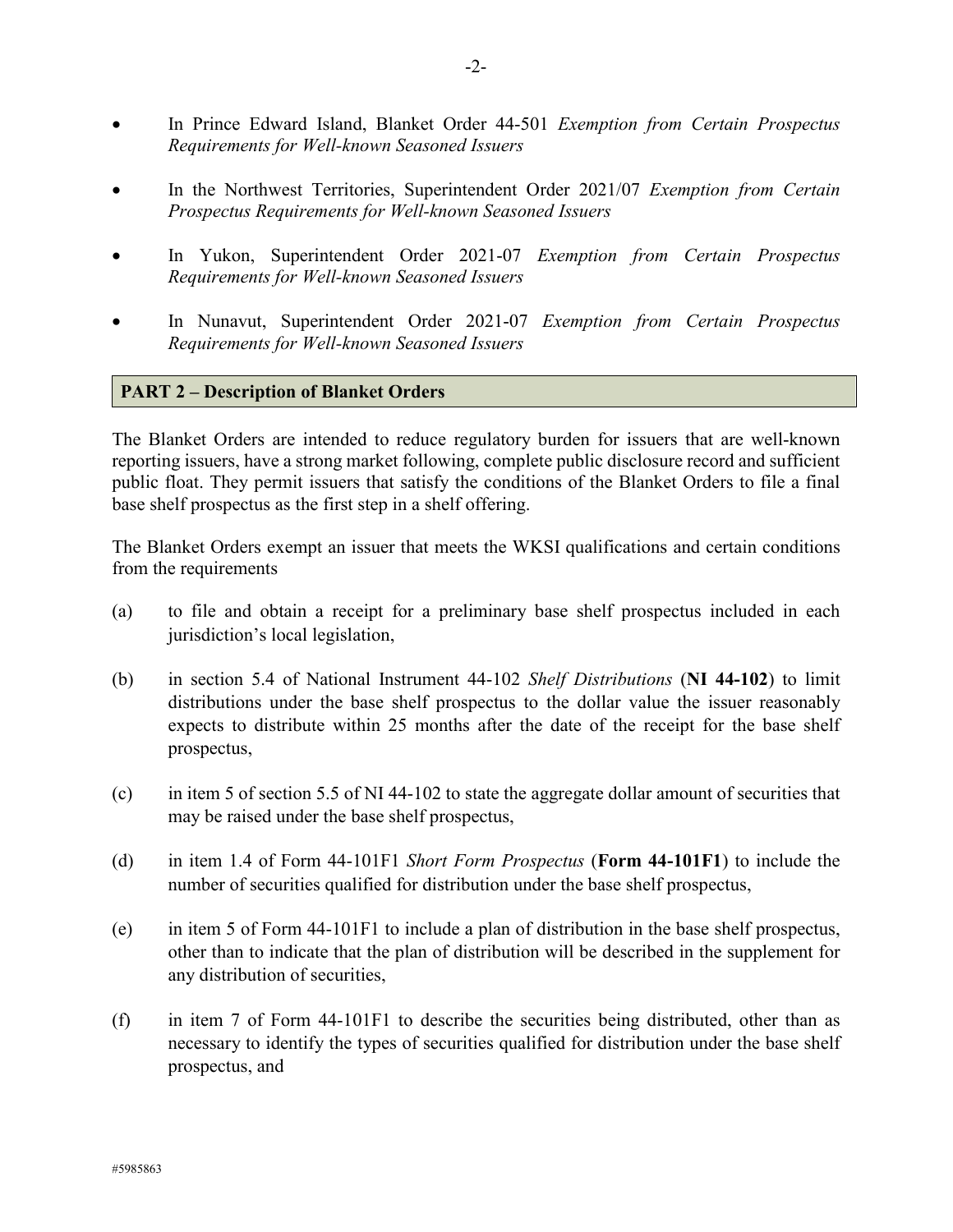- In Prince Edward Island, Blanket Order 44-501 *Exemption from Certain Prospectus Requirements for Well-known Seasoned Issuers*
- In the Northwest Territories, Superintendent Order 2021/07 *Exemption from Certain Prospectus Requirements for Well-known Seasoned Issuers*
- In Yukon, Superintendent Order 2021-07 *Exemption from Certain Prospectus Requirements for Well-known Seasoned Issuers*
- In Nunavut, Superintendent Order 2021-07 *Exemption from Certain Prospectus Requirements for Well-known Seasoned Issuers*

## **PART 2 – Description of Blanket Orders**

The Blanket Orders are intended to reduce regulatory burden for issuers that are well-known reporting issuers, have a strong market following, complete public disclosure record and sufficient public float. They permit issuers that satisfy the conditions of the Blanket Orders to file a final base shelf prospectus as the first step in a shelf offering.

The Blanket Orders exempt an issuer that meets the WKSI qualifications and certain conditions from the requirements

- (a) to file and obtain a receipt for a preliminary base shelf prospectus included in each jurisdiction's local legislation,
- (b) in section 5.4 of National Instrument 44-102 *Shelf Distributions* (**NI 44-102**) to limit distributions under the base shelf prospectus to the dollar value the issuer reasonably expects to distribute within 25 months after the date of the receipt for the base shelf prospectus,
- (c) in item 5 of section 5.5 of NI 44-102 to state the aggregate dollar amount of securities that may be raised under the base shelf prospectus,
- (d) in item 1.4 of Form 44-101F1 *Short Form Prospectus* (**Form 44-101F1**) to include the number of securities qualified for distribution under the base shelf prospectus,
- (e) in item 5 of Form 44-101F1 to include a plan of distribution in the base shelf prospectus, other than to indicate that the plan of distribution will be described in the supplement for any distribution of securities,
- (f) in item 7 of Form 44-101F1 to describe the securities being distributed, other than as necessary to identify the types of securities qualified for distribution under the base shelf prospectus, and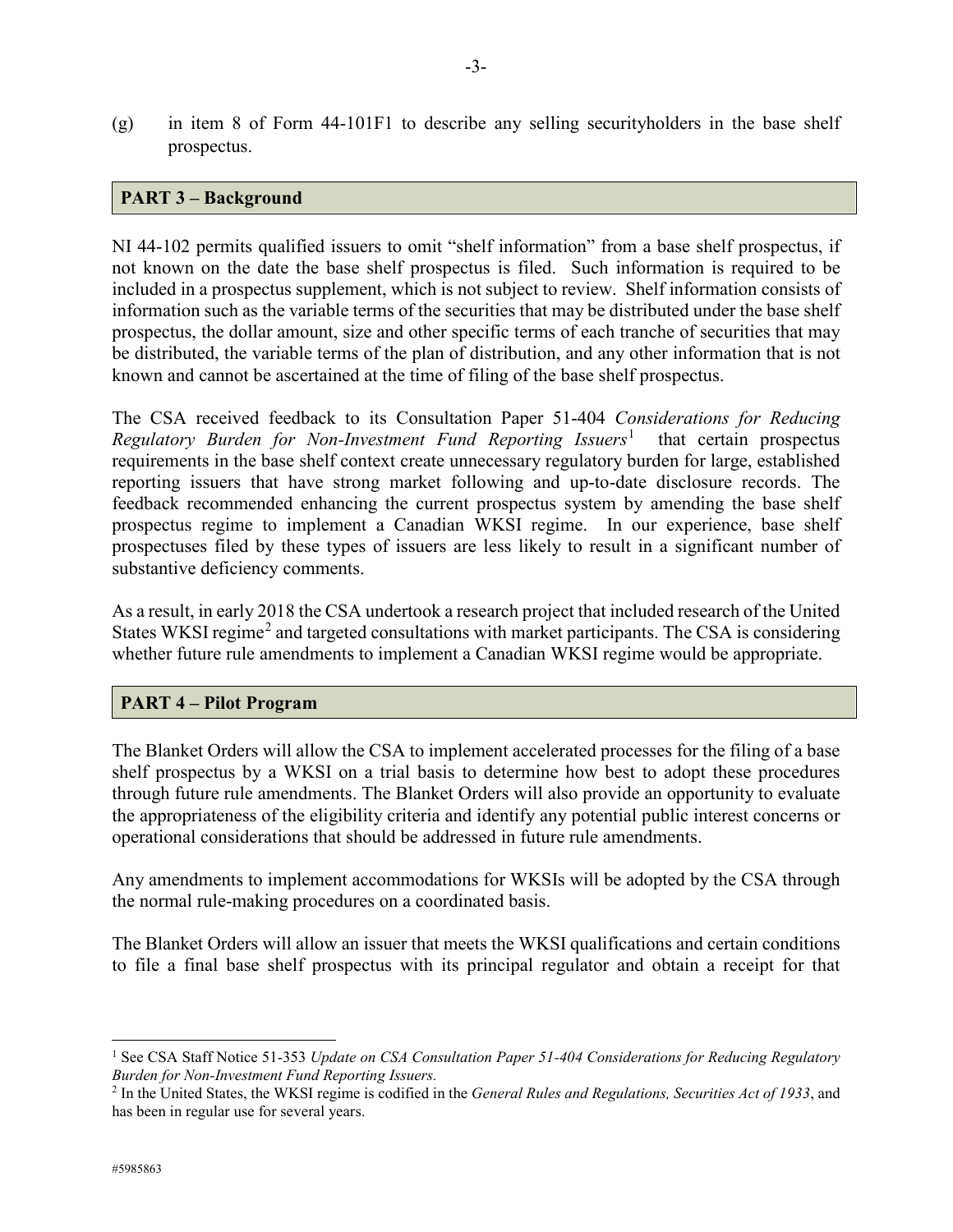(g) in item 8 of Form 44-101F1 to describe any selling securityholders in the base shelf prospectus.

## **PART 3 – Background**

NI 44-102 permits qualified issuers to omit "shelf information" from a base shelf prospectus, if not known on the date the base shelf prospectus is filed. Such information is required to be included in a prospectus supplement, which is not subject to review. Shelf information consists of information such as the variable terms of the securities that may be distributed under the base shelf prospectus, the dollar amount, size and other specific terms of each tranche of securities that may be distributed, the variable terms of the plan of distribution, and any other information that is not known and cannot be ascertained at the time of filing of the base shelf prospectus.

The CSA received feedback to its Consultation Paper 51-404 *Considerations for Reducing Regulatory Burden for Non-Investment Fund Reporting Issuers*[1](#page-2-0) that certain prospectus requirements in the base shelf context create unnecessary regulatory burden for large, established reporting issuers that have strong market following and up-to-date disclosure records. The feedback recommended enhancing the current prospectus system by amending the base shelf prospectus regime to implement a Canadian WKSI regime. In our experience, base shelf prospectuses filed by these types of issuers are less likely to result in a significant number of substantive deficiency comments.

As a result, in early 2018 the CSA undertook a research project that included research of the United States WKSI regime<sup>[2](#page-2-1)</sup> and targeted consultations with market participants. The CSA is considering whether future rule amendments to implement a Canadian WKSI regime would be appropriate.

#### **PART 4 – Pilot Program**

The Blanket Orders will allow the CSA to implement accelerated processes for the filing of a base shelf prospectus by a WKSI on a trial basis to determine how best to adopt these procedures through future rule amendments. The Blanket Orders will also provide an opportunity to evaluate the appropriateness of the eligibility criteria and identify any potential public interest concerns or operational considerations that should be addressed in future rule amendments.

Any amendments to implement accommodations for WKSIs will be adopted by the CSA through the normal rule-making procedures on a coordinated basis.

The Blanket Orders will allow an issuer that meets the WKSI qualifications and certain conditions to file a final base shelf prospectus with its principal regulator and obtain a receipt for that

<span id="page-2-0"></span><sup>&</sup>lt;sup>1</sup> See CSA Staff Notice 51-353 *Update on CSA Consultation Paper 51-404 Considerations for Reducing Regulatory Burden for Non-Investment Fund Reporting Issuers.*

<span id="page-2-1"></span><sup>2</sup> In the United States, the WKSI regime is codified in the *General Rules and Regulations, Securities Act of 1933*, and has been in regular use for several years.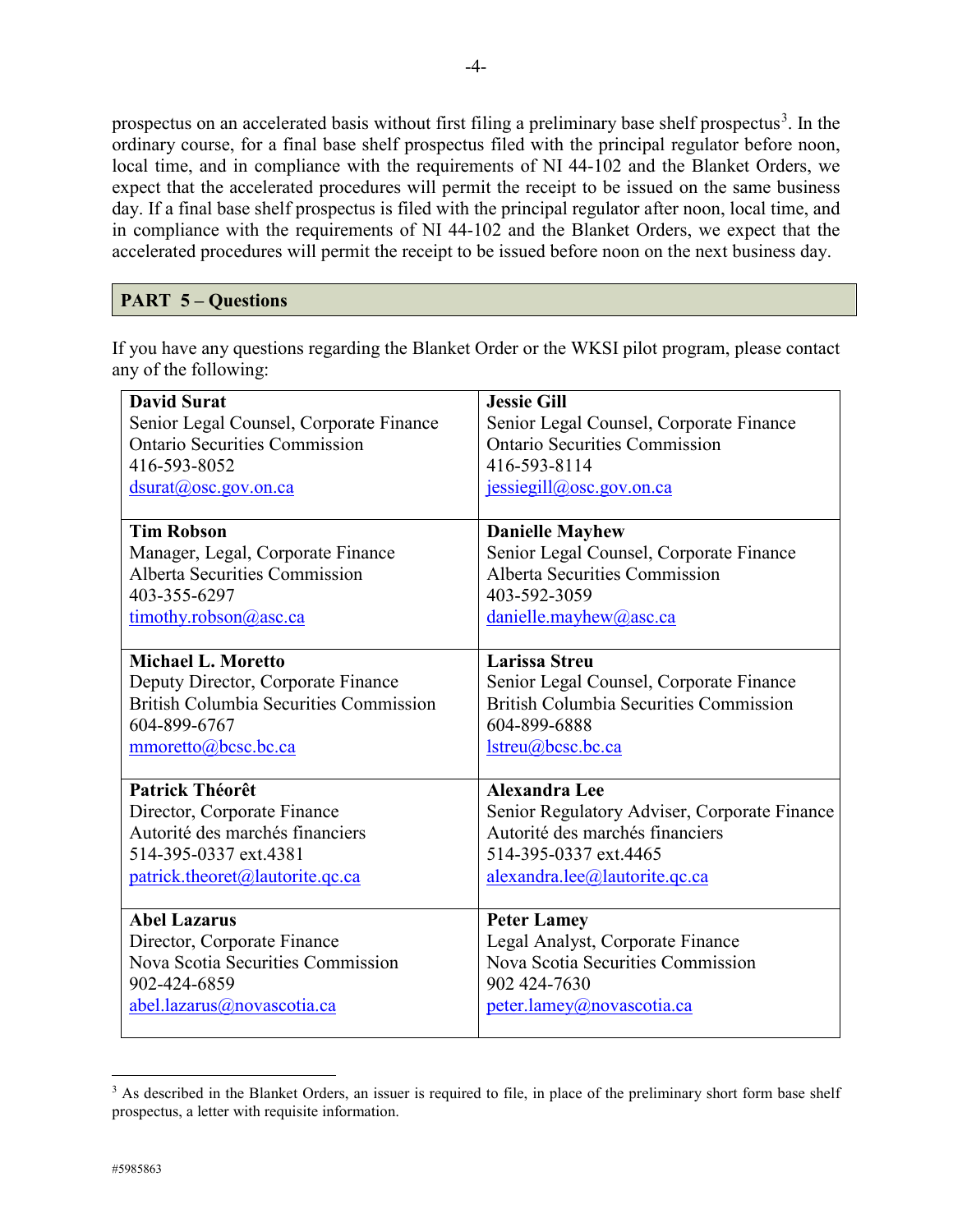prospectus on an accelerated basis without first filing a preliminary base shelf prospectus<sup>[3](#page-3-0)</sup>. In the ordinary course, for a final base shelf prospectus filed with the principal regulator before noon, local time, and in compliance with the requirements of NI 44-102 and the Blanket Orders, we expect that the accelerated procedures will permit the receipt to be issued on the same business day. If a final base shelf prospectus is filed with the principal regulator after noon, local time, and in compliance with the requirements of NI 44-102 and the Blanket Orders, we expect that the accelerated procedures will permit the receipt to be issued before noon on the next business day.

# **PART 5 – Questions**

If you have any questions regarding the Blanket Order or the WKSI pilot program, please contact any of the following:

| <b>David Surat</b>                            | <b>Jessie Gill</b>                            |
|-----------------------------------------------|-----------------------------------------------|
| Senior Legal Counsel, Corporate Finance       | Senior Legal Counsel, Corporate Finance       |
| <b>Ontario Securities Commission</b>          | <b>Ontario Securities Commission</b>          |
| 416-593-8052                                  | 416-593-8114                                  |
| $d$ surat $(a)$ osc.gov.on.ca                 | $jesisegill@osc.gov.$ on.ca                   |
|                                               |                                               |
| <b>Tim Robson</b>                             | <b>Danielle Mayhew</b>                        |
| Manager, Legal, Corporate Finance             | Senior Legal Counsel, Corporate Finance       |
| <b>Alberta Securities Commission</b>          | <b>Alberta Securities Commission</b>          |
| 403-355-6297                                  | 403-592-3059                                  |
| timothy.robson@asc.ca                         | danielle.mayhew@asc.ca                        |
|                                               |                                               |
| <b>Michael L. Moretto</b>                     | <b>Larissa Streu</b>                          |
| Deputy Director, Corporate Finance            | Senior Legal Counsel, Corporate Finance       |
| <b>British Columbia Securities Commission</b> | <b>British Columbia Securities Commission</b> |
| 604-899-6767                                  | 604-899-6888                                  |
| mmoretto@bcsc.bc.ca                           | lstreu@bcsc.bc.ca                             |
|                                               |                                               |
| <b>Patrick Théorêt</b>                        | <b>Alexandra Lee</b>                          |
| Director, Corporate Finance                   | Senior Regulatory Adviser, Corporate Finance  |
| Autorité des marchés financiers               | Autorité des marchés financiers               |
| 514-395-0337 ext.4381                         | 514-395-0337 ext.4465                         |
| patrick.theoret@lautorite.qc.ca               | alexandra.lee@lautorite.qc.ca                 |
|                                               |                                               |
| <b>Abel Lazarus</b>                           | <b>Peter Lamey</b>                            |
| Director, Corporate Finance                   | Legal Analyst, Corporate Finance              |
| Nova Scotia Securities Commission             | Nova Scotia Securities Commission             |
| 902-424-6859                                  | 902 424-7630                                  |
| abel.lazarus@novascotia.ca                    | peter.lamey@novascotia.ca                     |

<span id="page-3-0"></span><sup>1</sup> <sup>3</sup> As described in the Blanket Orders, an issuer is required to file, in place of the preliminary short form base shelf prospectus, a letter with requisite information.